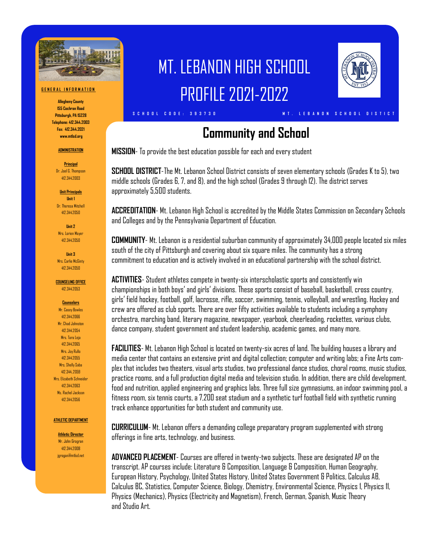

#### **G E N E R A L I N F O R M A T I O N**

**Allegheny County 155 Cochran Road Pittsburgh, PA 15228 Telephone: 412.344.2003 Fax: 412.344.2021 www.mtlsd.org**

#### **ADMINISTRATION**

**Principal** Dr. Joel G. Thompson 412.344.2003

**Unit Principals Unit 1** Dr. Theresa Mitchell

412.344.2050

**Unit 2** Mrs. Lorien Moye 412.344.2050

**Unit 3** Mrs. Carlie McGinty 412.344.2050

**COUNSELING OFFICE**

412.344.2053

**Counselors** Mr. Casey Bowles

412.344.2066 Mr. Chad Johnston 412.344.2054 Mrs. Tara Leja 412.344.2065 Mrs. Joy Rullo 412.344.2055 Mrs. Shelly Saba 412.344..2059 Mrs. Elizabeth Schneider 412.344.2063 Ms. Rachel Jackson 412.344.2056

#### **ATHLETIC DEPARTMENT**

**Athletic Director** Mr. John Grogran 412.344.2008 jgrogan@mtlsd.net

# MT. LEBANON HIGH SCHOOL PROFILE 2021-2022



# **Community and School**

**S C H O O L C O D E : 3 9 3 7 3 0 M T . L E B A N O N S C H O O L D I S T I C T**

**MISSION**- To provide the best education possible for each and every student

**SCHOOL DISTRICT**-The Mt. Lebanon School District consists of seven elementary schools (Grades K to 5), two middle schools (Grades 6, 7, and 8), and the high school (Grades 9 through 12). The district serves approximately 5,500 students.

**ACCREDITATION**- Mt. Lebanon High School is accredited by the Middle States Commission on Secondary Schools and Colleges and by the Pennsylvania Department of Education.

**COMMUNITY**- Mt. Lebanon is a residential suburban community of approximately 34,000 people located six miles south of the city of Pittsburgh and covering about six square miles. The community has a strong commitment to education and is actively involved in an educational partnership with the school district.

**ACTIVITIES**- Student athletes compete in twenty-six interscholastic sports and consistently win championships in both boys' and girls' divisions. These sports consist of baseball, basketball, cross country, girls' field hockey, football, golf, lacrosse, rifle, soccer, swimming, tennis, volleyball, and wrestling. Hockey and crew are offered as club sports. There are over fifty activities available to students including a symphony orchestra, marching band, literary magazine, newspaper, yearbook, cheerleading, rockettes, various clubs, dance company, student government and student leadership, academic games, and many more.

**FACILITIES**- Mt. Lebanon High School is located on twenty-six acres of land. The building houses a library and media center that contains an extensive print and digital collection; computer and writing labs; a Fine Arts complex that includes two theaters, visual arts studios, two professional dance studios, choral rooms, music studios, practice rooms, and a full production digital media and television studio. In addition, there are child development, food and nutrition, applied engineering and graphics labs. Three full size gymnasiums, an indoor swimming pool, a fitness room, six tennis courts, a 7,200 seat stadium and a synthetic turf football field with synthetic running track enhance opportunities for both student and community use.

**CURRICULUM**- Mt. Lebanon offers a demanding college preparatory program supplemented with strong offerings in fine arts, technology, and business.

**ADVANCED PLACEMENT**- Courses are offered in twenty-two subjects. These are designated AP on the transcript. AP courses include: Literature & Composition, Language & Composition, Human Geography, European History, Psychology, United States History, United States Government & Politics, Calculus AB, Calculus BC, Statistics, Computer Science, Biology, Chemistry, Environmental Science, Physics 1, Physics 11, Physics (Mechanics), Physics (Electricity and Magnetism), French, German, Spanish, Music Theory and Studin Art.